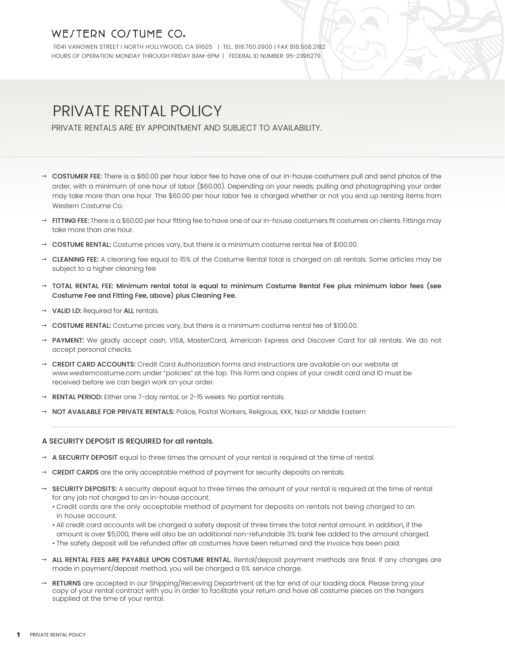## WE/TERN CO/TUME CO.

 11041 VANOWEN STREET I NORTH HOLLYWOOD, CA 91605 | TEL. 818.760.0900 | FAX 818.508.2182 HOURS OF OPERATION: MONDAY THROUGH FRIDAY 8AM-6PM | FEDERAL ID NUMBER: 95-2396279

# PRIVATE RENTAL POLICY

PRIVATE RENTALS ARE BY APPOINTMENT AND SUBJECT TO AVAILABILITY.

- → COSTUMER FEE: There is a \$60.00 per hour labor fee to have one of our in-house costumers pull and send photos of the order, with a minimum of one hour of labor (\$60.00). Depending on your needs, pulling and photographing your order may take more than one hour. The \$60.00 per hour labor fee is charged whether or not you end up renting items from Western Costume Co.
- $\rightarrow$  FITTING FEE: There is a \$60.00 per hour fitting fee to have one of our in-house costumers fit costumes on clients. Fittings may take more than one hour.
- $\rightarrow$  COSTUME RENTAL: Costume prices vary, but there is a minimum costume rental fee of \$100.00.
- → CLEANING FEE: A cleaning fee equal to 15% of the Costume Rental total is charged on all rentals. Some articles may be subject to a higher cleaning fee
- → TOTAL RENTAL FEE: Minimum rental total is equal to minimum Costume Rental Fee plus minimum labor fees (see Costume Fee and Fitting Fee, above) plus Cleaning Fee.
- → VALID I.D: Required for ALL rentals.
- $\rightarrow$  COSTUME RENTAL: Costume prices vary, but there is a minimum costume rental fee of \$100.00.
- → PAYMENT: We gladly accept cash, VISA, MasterCard, American Express and Discover Card for all rentals. We do not accept personal checks.
- → CREDIT CARD ACCOUNTS: Credit Card Authorization forms and instructions are available on our website at www.westerncostume.com under "policies" at the top. This form and copies of your credit card and ID must be received before we can begin work on your order.
- → RENTAL PERIOD: Either one 7-day rental, or 2-15 weeks. No partial rentals.
- → NOT AVAILABLE FOR PRIVATE RENTALS: Police, Postal Workers, Religious, KKK, Nazi or Middle Eastern

#### A SECURITY DEPOSIT IS REQUIRED for all rentals.

- $\rightarrow$  A SECURITY DEPOSIT equal to three times the amount of your rental is required at the time of rental.
- $\rightarrow$  CREDIT CARDS are the only acceptable method of payment for security deposits on rentals.
- → SECURITY DEPOSITS: A security deposit equal to three times the amount of your rental is required at the time of rental for any job not charged to an in-house account.
	- Credit cards are the only acceptable method of payment for deposits on rentals not being charged to an in house account.
	- All credit card accounts will be charged a safety deposit of three times the total rental amount. In addition, if the amount is over \$5,000, there will also be an additional non-refundable 3% bank fee added to the amount charged.
	- The safety deposit will be refunded after all costumes have been returned and the invoice has been paid.
- → ALL RENTAL FEES ARE PAYABLE UPON COSTUME RENTAL. Rental/deposit payment methods are final. If any changes are made in payment/deposit method, you will be charged a 6% service charge.
- → RETURNS are accepted in our Shipping/Receiving Department at the far end of our loading dock. Please bring your copy of your rental contract with you in order to facilitate your return and have all costume pieces on the hangers supplied at the time of your rental.